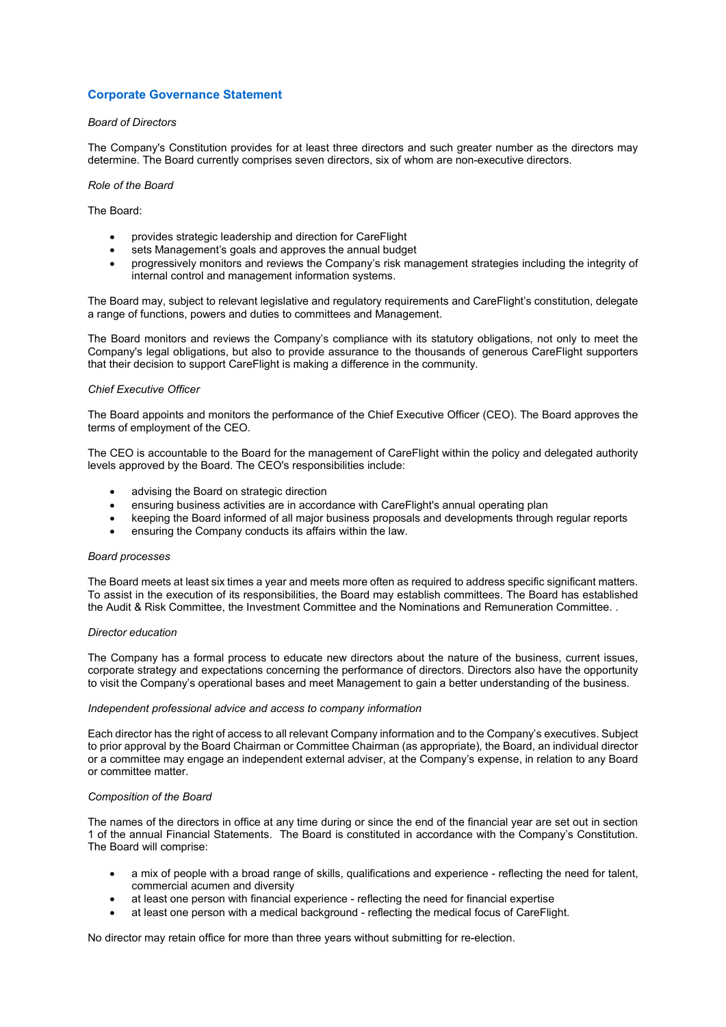# **Corporate Governance Statement**

## *Board of Directors*

The Company's Constitution provides for at least three directors and such greater number as the directors may determine. The Board currently comprises seven directors, six of whom are non-executive directors.

## *Role of the Board*

# The Board:

- provides strategic leadership and direction for CareFlight
- sets Management's goals and approves the annual budget
- progressively monitors and reviews the Company's risk management strategies including the integrity of internal control and management information systems.

The Board may, subject to relevant legislative and regulatory requirements and CareFlight's constitution, delegate a range of functions, powers and duties to committees and Management.

The Board monitors and reviews the Company's compliance with its statutory obligations, not only to meet the Company's legal obligations, but also to provide assurance to the thousands of generous CareFlight supporters that their decision to support CareFlight is making a difference in the community.

## *Chief Executive Officer*

The Board appoints and monitors the performance of the Chief Executive Officer (CEO). The Board approves the terms of employment of the CEO.

The CEO is accountable to the Board for the management of CareFlight within the policy and delegated authority levels approved by the Board. The CEO's responsibilities include:

- advising the Board on strategic direction
- ensuring business activities are in accordance with CareFlight's annual operating plan
- keeping the Board informed of all major business proposals and developments through regular reports
- ensuring the Company conducts its affairs within the law.

#### *Board processes*

The Board meets at least six times a year and meets more often as required to address specific significant matters. To assist in the execution of its responsibilities, the Board may establish committees. The Board has established the Audit & Risk Committee, the Investment Committee and the Nominations and Remuneration Committee. .

#### *Director education*

The Company has a formal process to educate new directors about the nature of the business, current issues, corporate strategy and expectations concerning the performance of directors. Directors also have the opportunity to visit the Company's operational bases and meet Management to gain a better understanding of the business.

## *Independent professional advice and access to company information*

Each director has the right of access to all relevant Company information and to the Company's executives. Subject to prior approval by the Board Chairman or Committee Chairman (as appropriate), the Board, an individual director or a committee may engage an independent external adviser, at the Company's expense, in relation to any Board or committee matter.

## *Composition of the Board*

The names of the directors in office at any time during or since the end of the financial year are set out in section 1 of the annual Financial Statements. The Board is constituted in accordance with the Company's Constitution. The Board will comprise:

- a mix of people with a broad range of skills, qualifications and experience reflecting the need for talent, commercial acumen and diversity
- at least one person with financial experience reflecting the need for financial expertise
- at least one person with a medical background reflecting the medical focus of CareFlight.

No director may retain office for more than three years without submitting for re-election.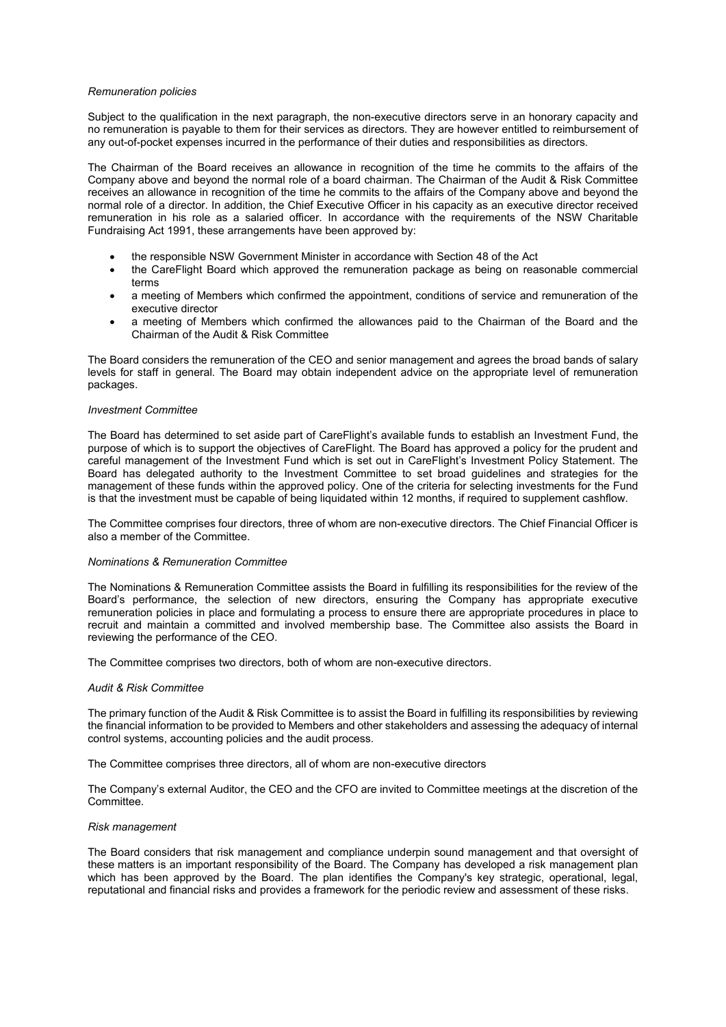## *Remuneration policies*

Subject to the qualification in the next paragraph, the non-executive directors serve in an honorary capacity and no remuneration is payable to them for their services as directors. They are however entitled to reimbursement of any out-of-pocket expenses incurred in the performance of their duties and responsibilities as directors.

The Chairman of the Board receives an allowance in recognition of the time he commits to the affairs of the Company above and beyond the normal role of a board chairman. The Chairman of the Audit & Risk Committee receives an allowance in recognition of the time he commits to the affairs of the Company above and beyond the normal role of a director. In addition, the Chief Executive Officer in his capacity as an executive director received remuneration in his role as a salaried officer. In accordance with the requirements of the NSW Charitable Fundraising Act 1991, these arrangements have been approved by:

- the responsible NSW Government Minister in accordance with Section 48 of the Act
- the CareFlight Board which approved the remuneration package as being on reasonable commercial terms
- a meeting of Members which confirmed the appointment, conditions of service and remuneration of the executive director
- a meeting of Members which confirmed the allowances paid to the Chairman of the Board and the Chairman of the Audit & Risk Committee

The Board considers the remuneration of the CEO and senior management and agrees the broad bands of salary levels for staff in general. The Board may obtain independent advice on the appropriate level of remuneration packages.

#### *Investment Committee*

The Board has determined to set aside part of CareFlight's available funds to establish an Investment Fund, the purpose of which is to support the objectives of CareFlight. The Board has approved a policy for the prudent and careful management of the Investment Fund which is set out in CareFlight's Investment Policy Statement. The Board has delegated authority to the Investment Committee to set broad guidelines and strategies for the management of these funds within the approved policy. One of the criteria for selecting investments for the Fund is that the investment must be capable of being liquidated within 12 months, if required to supplement cashflow.

The Committee comprises four directors, three of whom are non-executive directors. The Chief Financial Officer is also a member of the Committee.

#### *Nominations & Remuneration Committee*

The Nominations & Remuneration Committee assists the Board in fulfilling its responsibilities for the review of the Board's performance, the selection of new directors, ensuring the Company has appropriate executive remuneration policies in place and formulating a process to ensure there are appropriate procedures in place to recruit and maintain a committed and involved membership base. The Committee also assists the Board in reviewing the performance of the CEO.

The Committee comprises two directors, both of whom are non-executive directors.

# *Audit & Risk Committee*

The primary function of the Audit & Risk Committee is to assist the Board in fulfilling its responsibilities by reviewing the financial information to be provided to Members and other stakeholders and assessing the adequacy of internal control systems, accounting policies and the audit process.

The Committee comprises three directors, all of whom are non-executive directors

The Company's external Auditor, the CEO and the CFO are invited to Committee meetings at the discretion of the Committee.

#### *Risk management*

The Board considers that risk management and compliance underpin sound management and that oversight of these matters is an important responsibility of the Board. The Company has developed a risk management plan which has been approved by the Board. The plan identifies the Company's key strategic, operational, legal, reputational and financial risks and provides a framework for the periodic review and assessment of these risks.